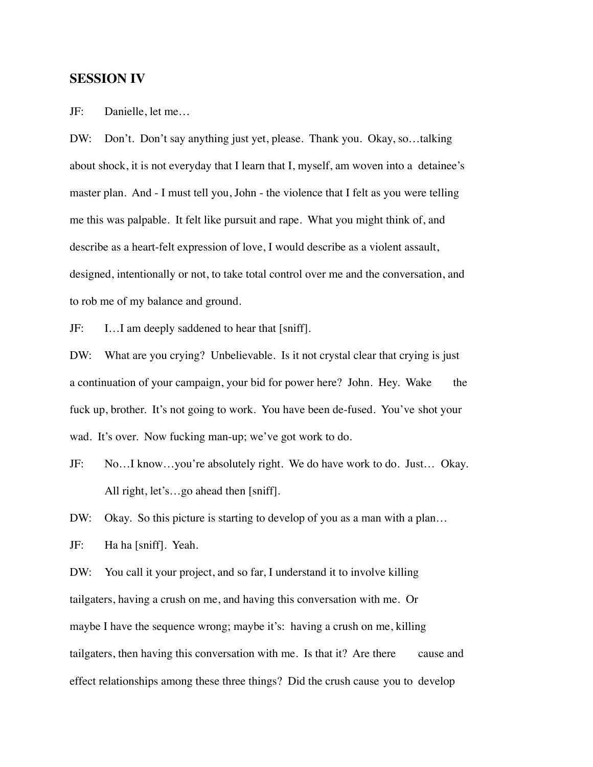## **SESSION IV**

JF: Danielle, let me…

DW: Don't. Don't say anything just yet, please. Thank you. Okay, so…talking about shock, it is not everyday that I learn that I, myself, am woven into a detainee's master plan. And - I must tell you, John - the violence that I felt as you were telling me this was palpable. It felt like pursuit and rape. What you might think of, and describe as a heart-felt expression of love, I would describe as a violent assault, designed, intentionally or not, to take total control over me and the conversation, and to rob me of my balance and ground.

JF: I…I am deeply saddened to hear that [sniff].

DW: What are you crying? Unbelievable. Is it not crystal clear that crying is just a continuation of your campaign, your bid for power here? John. Hey. Wake the fuck up, brother. It's not going to work. You have been de-fused. You've shot your wad. It's over. Now fucking man-up; we've got work to do.

JF: No…I know…you're absolutely right. We do have work to do. Just… Okay. All right, let's…go ahead then [sniff].

DW: Okay. So this picture is starting to develop of you as a man with a plan...

JF: Ha ha [sniff]. Yeah.

DW: You call it your project, and so far, I understand it to involve killing tailgaters, having a crush on me, and having this conversation with me. Or maybe I have the sequence wrong; maybe it's: having a crush on me, killing tailgaters, then having this conversation with me. Is that it? Are there cause and effect relationships among these three things? Did the crush cause you to develop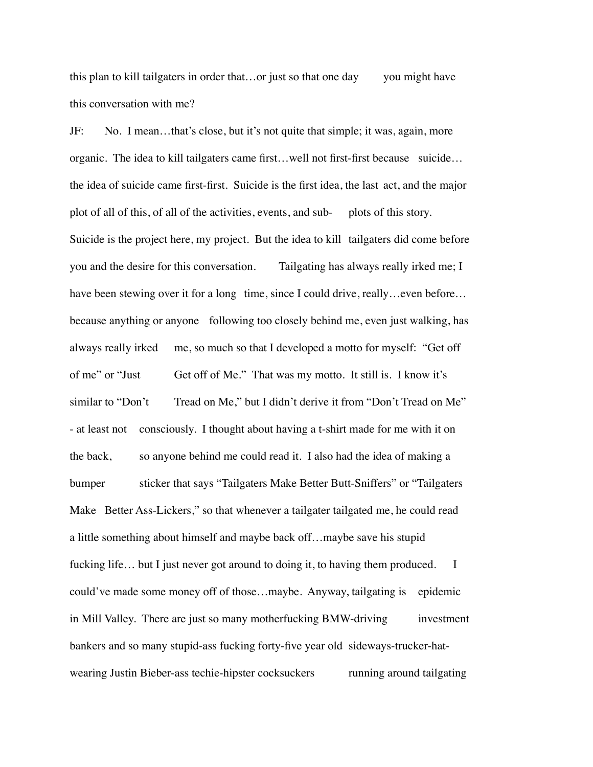this plan to kill tailgaters in order that...or just so that one day you might have this conversation with me?

JF: No. I mean…that's close, but it's not quite that simple; it was, again, more organic. The idea to kill tailgaters came first…well not first-first because suicide… the idea of suicide came first-first. Suicide is the first idea, the last act, and the major plot of all of this, of all of the activities, events, and sub- plots of this story. Suicide is the project here, my project. But the idea to kill tailgaters did come before you and the desire for this conversation. Tailgating has always really irked me; I have been stewing over it for a long time, since I could drive, really…even before… because anything or anyone following too closely behind me, even just walking, has always really irked me, so much so that I developed a motto for myself: "Get off of me" or "Just Get off of Me." That was my motto. It still is. I know it's similar to "Don't Tread on Me," but I didn't derive it from "Don't Tread on Me" - at least not consciously. I thought about having a t-shirt made for me with it on the back, so anyone behind me could read it. I also had the idea of making a bumper sticker that says "Tailgaters Make Better Butt-Sniffers" or "Tailgaters Make Better Ass-Lickers," so that whenever a tailgater tailgated me, he could read a little something about himself and maybe back off…maybe save his stupid fucking life... but I just never got around to doing it, to having them produced. I could've made some money off of those…maybe. Anyway, tailgating is epidemic in Mill Valley. There are just so many motherfucking BMW-driving investment bankers and so many stupid-ass fucking forty-five year old sideways-trucker-hatwearing Justin Bieber-ass techie-hipster cocksuckers running around tailgating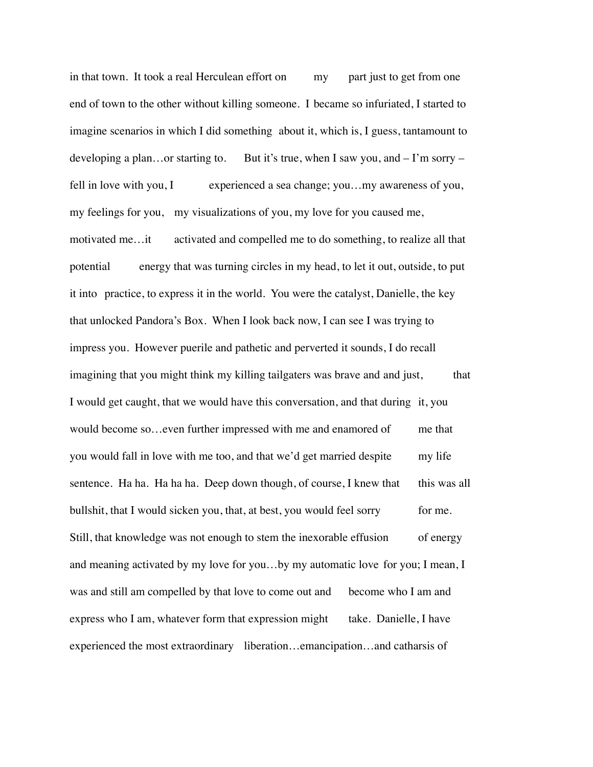in that town. It took a real Herculean effort on my part just to get from one end of town to the other without killing someone. I became so infuriated, I started to imagine scenarios in which I did something about it, which is, I guess, tantamount to developing a plan...or starting to. But it's true, when I saw you, and  $-I'm$  sorry – fell in love with you, I experienced a sea change; you...my awareness of you, my feelings for you, my visualizations of you, my love for you caused me, motivated me…it activated and compelled me to do something, to realize all that potential energy that was turning circles in my head, to let it out, outside, to put it into practice, to express it in the world. You were the catalyst, Danielle, the key that unlocked Pandora's Box. When I look back now, I can see I was trying to impress you. However puerile and pathetic and perverted it sounds, I do recall imagining that you might think my killing tailgaters was brave and and just, that I would get caught, that we would have this conversation, and that during it, you would become so...even further impressed with me and enamored of me that you would fall in love with me too, and that we'd get married despite my life sentence. Ha ha. Ha ha ha. Deep down though, of course, I knew that this was all bullshit, that I would sicken you, that, at best, you would feel sorry for me. Still, that knowledge was not enough to stem the inexorable effusion of energy and meaning activated by my love for you…by my automatic love for you; I mean, I was and still am compelled by that love to come out and become who I am and express who I am, whatever form that expression might take. Danielle, I have experienced the most extraordinary liberation…emancipation…and catharsis of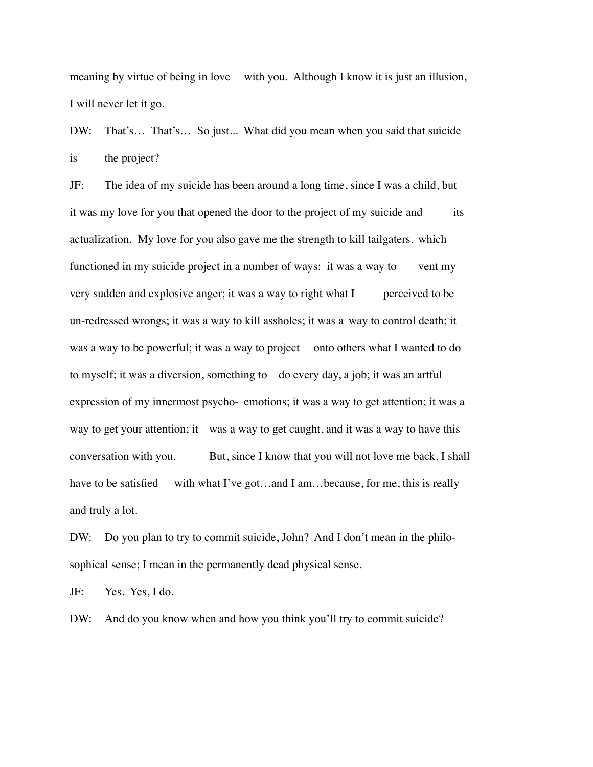meaning by virtue of being in love with you. Although I know it is just an illusion, I will never let it go.

DW: That's… That's… So just... What did you mean when you said that suicide is the project?

JF: The idea of my suicide has been around a long time, since I was a child, but it was my love for you that opened the door to the project of my suicide and its actualization. My love for you also gave me the strength to kill tailgaters, which functioned in my suicide project in a number of ways: it was a way to vent my very sudden and explosive anger; it was a way to right what I perceived to be un-redressed wrongs; it was a way to kill assholes; it was a way to control death; it was a way to be powerful; it was a way to project onto others what I wanted to do to myself; it was a diversion, something to do every day, a job; it was an artful expression of my innermost psycho- emotions; it was a way to get attention; it was a way to get your attention; it was a way to get caught, and it was a way to have this conversation with you. But, since I know that you will not love me back, I shall have to be satisfied with what I've got...and I am...because, for me, this is really and truly a lot.

DW: Do you plan to try to commit suicide, John? And I don't mean in the philosophical sense; I mean in the permanently dead physical sense.

JF: Yes. Yes, I do.

DW: And do you know when and how you think you'll try to commit suicide?